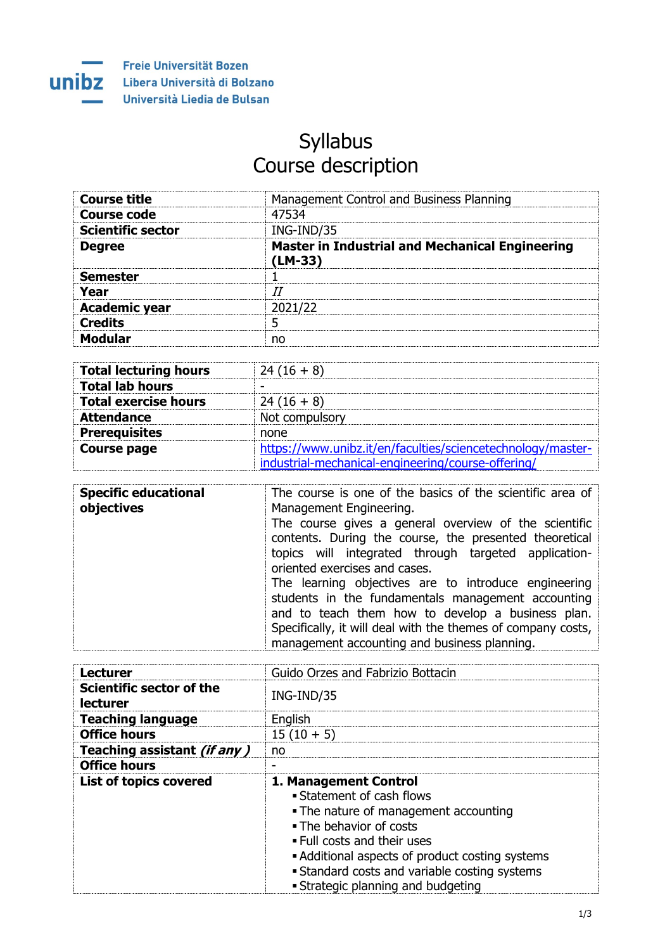

## **Syllabus** Course description

| <b>Course title</b>      | Management Control and Business Planning                            |
|--------------------------|---------------------------------------------------------------------|
| <b>Course code</b>       | 47534                                                               |
| <b>Scientific sector</b> | ING-IND/35                                                          |
| <b>Degree</b>            | <b>Master in Industrial and Mechanical Engineering</b><br>$(LM-33)$ |
| <b>Semester</b>          |                                                                     |
| Year                     | TΙ                                                                  |
| <b>Academic year</b>     | 2021/22                                                             |
| <b>Credits</b>           |                                                                     |
| <b>Modular</b>           | no                                                                  |

| <b>Total lecturing hours</b> | $24(16+8)$                                                  |
|------------------------------|-------------------------------------------------------------|
| <b>Total lab hours</b>       |                                                             |
| <b>Total exercise hours</b>  | $24(16+8)$                                                  |
| <b>Attendance</b>            | Not compulsory                                              |
| <b>Prerequisites</b>         | none                                                        |
| <b>Course page</b>           | https://www.unibz.it/en/faculties/sciencetechnology/master- |
|                              | industrial-mechanical-engineering/course-offering/          |

| <b>Specific educational</b><br>objectives | The course is one of the basics of the scientific area of<br>Management Engineering.                                                                                                                                                                                            |
|-------------------------------------------|---------------------------------------------------------------------------------------------------------------------------------------------------------------------------------------------------------------------------------------------------------------------------------|
|                                           | The course gives a general overview of the scientific<br>contents. During the course, the presented theoretical<br>topics will integrated through targeted application-<br>oriented exercises and cases.                                                                        |
|                                           | The learning objectives are to introduce engineering<br>students in the fundamentals management accounting<br>and to teach them how to develop a business plan.<br>Specifically, it will deal with the themes of company costs,<br>management accounting and business planning. |

| <b>Lecturer</b>                             | Guido Orzes and Fabrizio Bottacin                  |
|---------------------------------------------|----------------------------------------------------|
| Scientific sector of the<br><b>lecturer</b> | ING-IND/35                                         |
| <b>Teaching language</b>                    | English                                            |
| <b>Office hours</b>                         | $15(10+5)$                                         |
| Teaching assistant (if any)                 | no                                                 |
| <b>Office hours</b>                         |                                                    |
| <b>List of topics covered</b>               | 1. Management Control                              |
|                                             | Statement of cash flows                            |
|                                             | • The nature of management accounting              |
|                                             | . The behavior of costs                            |
|                                             | . Full costs and their uses                        |
|                                             | • Additional aspects of product costing systems    |
|                                             | <b>Standard costs and variable costing systems</b> |
|                                             | • Strategic planning and budgeting                 |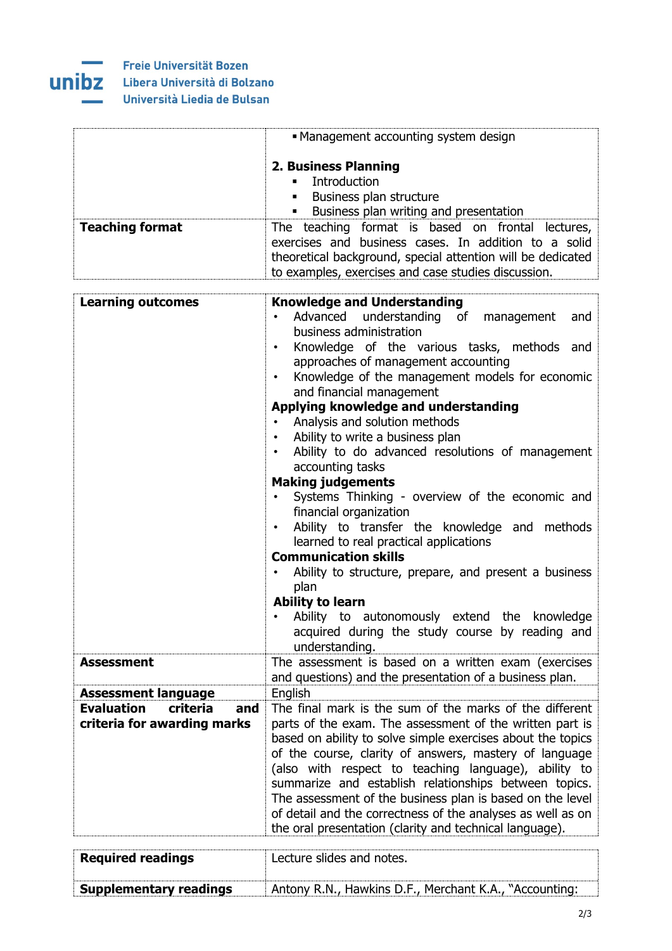

|                                                                     | • Management accounting system design                                                                                                                                                                                                                                                                                                                                                                                                                                                                                                                                                                                                                                                                                                                                                                                                                                                                                                                |
|---------------------------------------------------------------------|------------------------------------------------------------------------------------------------------------------------------------------------------------------------------------------------------------------------------------------------------------------------------------------------------------------------------------------------------------------------------------------------------------------------------------------------------------------------------------------------------------------------------------------------------------------------------------------------------------------------------------------------------------------------------------------------------------------------------------------------------------------------------------------------------------------------------------------------------------------------------------------------------------------------------------------------------|
| <b>Teaching format</b>                                              | <b>2. Business Planning</b><br>Introduction<br>٠<br>Business plan structure<br>Business plan writing and presentation<br>. .<br>The teaching format is based on frontal lectures,                                                                                                                                                                                                                                                                                                                                                                                                                                                                                                                                                                                                                                                                                                                                                                    |
|                                                                     | exercises and business cases. In addition to a solid<br>theoretical background, special attention will be dedicated<br>to examples, exercises and case studies discussion.                                                                                                                                                                                                                                                                                                                                                                                                                                                                                                                                                                                                                                                                                                                                                                           |
| <b>Learning outcomes</b>                                            | <b>Knowledge and Understanding</b><br>Advanced understanding of management<br>and<br>business administration<br>Knowledge of the various tasks, methods and<br>$\bullet$<br>approaches of management accounting<br>Knowledge of the management models for economic<br>$\bullet$<br>and financial management<br>Applying knowledge and understanding<br>Analysis and solution methods<br>Ability to write a business plan<br>Ability to do advanced resolutions of management<br>accounting tasks<br><b>Making judgements</b><br>Systems Thinking - overview of the economic and<br>financial organization<br>Ability to transfer the knowledge and methods<br>learned to real practical applications<br><b>Communication skills</b><br>Ability to structure, prepare, and present a business<br>plan<br><b>Ability to learn</b><br>Ability to autonomously extend the knowledge<br>acquired during the study course by reading and<br>understanding. |
| <b>Assessment</b>                                                   | The assessment is based on a written exam (exercises<br>and questions) and the presentation of a business plan.                                                                                                                                                                                                                                                                                                                                                                                                                                                                                                                                                                                                                                                                                                                                                                                                                                      |
| <b>Assessment language</b>                                          | English                                                                                                                                                                                                                                                                                                                                                                                                                                                                                                                                                                                                                                                                                                                                                                                                                                                                                                                                              |
| <b>Evaluation</b><br>criteria<br>and<br>criteria for awarding marks | The final mark is the sum of the marks of the different<br>parts of the exam. The assessment of the written part is<br>based on ability to solve simple exercises about the topics<br>of the course, clarity of answers, mastery of language<br>(also with respect to teaching language), ability to<br>summarize and establish relationships between topics.<br>The assessment of the business plan is based on the level<br>of detail and the correctness of the analyses as well as on<br>the oral presentation (clarity and technical language).                                                                                                                                                                                                                                                                                                                                                                                                 |

| <b>Required readings</b>      | Lecture slides and notes.                              |
|-------------------------------|--------------------------------------------------------|
| <b>Supplementary readings</b> | Antony R.N., Hawkins D.F., Merchant K.A., "Accounting: |